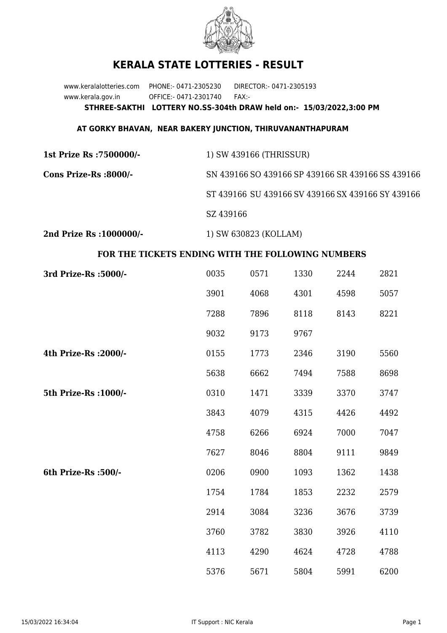

## **KERALA STATE LOTTERIES - RESULT**

www.keralalotteries.com PHONE:- 0471-2305230 DIRECTOR:- 0471-2305193 www.kerala.gov.in OFFICE:- 0471-2301740 FAX:- **STHREE-SAKTHI LOTTERY NO.SS-304th DRAW held on:- 15/03/2022,3:00 PM**

## **AT GORKY BHAVAN, NEAR BAKERY JUNCTION, THIRUVANANTHAPURAM**

| 1st Prize Rs :7500000/- | 1) SW 439166 (THRISSUR)                           |
|-------------------------|---------------------------------------------------|
| Cons Prize-Rs :8000/-   | SN 439166 SO 439166 SP 439166 SR 439166 SS 439166 |
|                         | ST 439166 SU 439166 SV 439166 SX 439166 SY 439166 |
|                         | SZ 439166                                         |
|                         |                                                   |

**2nd Prize Rs :1000000/-** 1) SW 630823 (KOLLAM)

## **FOR THE TICKETS ENDING WITH THE FOLLOWING NUMBERS**

| 3rd Prize-Rs : 5000/- | 0035 | 0571 | 1330 | 2244 | 2821 |
|-----------------------|------|------|------|------|------|
|                       | 3901 | 4068 | 4301 | 4598 | 5057 |
|                       | 7288 | 7896 | 8118 | 8143 | 8221 |
|                       | 9032 | 9173 | 9767 |      |      |
| 4th Prize-Rs : 2000/- | 0155 | 1773 | 2346 | 3190 | 5560 |
|                       | 5638 | 6662 | 7494 | 7588 | 8698 |
| 5th Prize-Rs : 1000/- | 0310 | 1471 | 3339 | 3370 | 3747 |
|                       | 3843 | 4079 | 4315 | 4426 | 4492 |
|                       | 4758 | 6266 | 6924 | 7000 | 7047 |
|                       | 7627 | 8046 | 8804 | 9111 | 9849 |
| 6th Prize-Rs :500/-   | 0206 | 0900 | 1093 | 1362 | 1438 |
|                       | 1754 | 1784 | 1853 | 2232 | 2579 |
|                       | 2914 | 3084 | 3236 | 3676 | 3739 |
|                       | 3760 | 3782 | 3830 | 3926 | 4110 |
|                       | 4113 | 4290 | 4624 | 4728 | 4788 |
|                       | 5376 | 5671 | 5804 | 5991 | 6200 |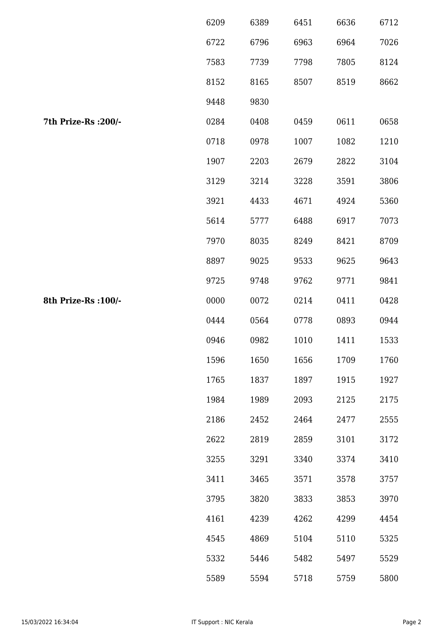|                      | 6209 | 6389 | 6451 | 6636 | 6712 |
|----------------------|------|------|------|------|------|
|                      | 6722 | 6796 | 6963 | 6964 | 7026 |
|                      | 7583 | 7739 | 7798 | 7805 | 8124 |
|                      | 8152 | 8165 | 8507 | 8519 | 8662 |
|                      | 9448 | 9830 |      |      |      |
| 7th Prize-Rs : 200/- | 0284 | 0408 | 0459 | 0611 | 0658 |
|                      | 0718 | 0978 | 1007 | 1082 | 1210 |
|                      | 1907 | 2203 | 2679 | 2822 | 3104 |
|                      | 3129 | 3214 | 3228 | 3591 | 3806 |
|                      | 3921 | 4433 | 4671 | 4924 | 5360 |
|                      | 5614 | 5777 | 6488 | 6917 | 7073 |
|                      | 7970 | 8035 | 8249 | 8421 | 8709 |
|                      | 8897 | 9025 | 9533 | 9625 | 9643 |
|                      | 9725 | 9748 | 9762 | 9771 | 9841 |
| 8th Prize-Rs : 100/- | 0000 | 0072 | 0214 | 0411 | 0428 |
|                      | 0444 | 0564 | 0778 | 0893 | 0944 |
|                      | 0946 | 0982 | 1010 | 1411 | 1533 |
|                      | 1596 | 1650 | 1656 | 1709 | 1760 |
|                      | 1765 | 1837 | 1897 | 1915 | 1927 |
|                      | 1984 | 1989 | 2093 | 2125 | 2175 |
|                      | 2186 | 2452 | 2464 | 2477 | 2555 |
|                      | 2622 | 2819 | 2859 | 3101 | 3172 |
|                      | 3255 | 3291 | 3340 | 3374 | 3410 |
|                      | 3411 | 3465 | 3571 | 3578 | 3757 |
|                      | 3795 | 3820 | 3833 | 3853 | 3970 |
|                      | 4161 | 4239 | 4262 | 4299 | 4454 |
|                      | 4545 | 4869 | 5104 | 5110 | 5325 |
|                      | 5332 | 5446 | 5482 | 5497 | 5529 |
|                      | 5589 | 5594 | 5718 | 5759 | 5800 |